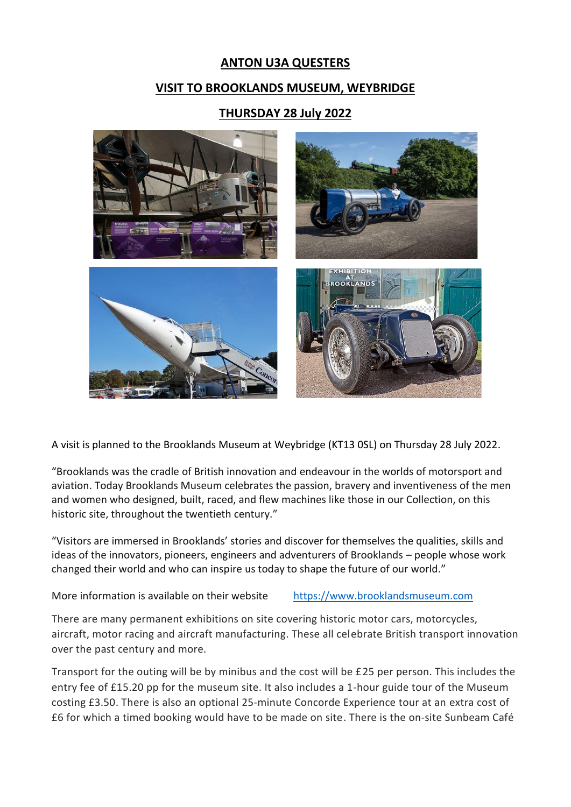## **ANTON U3A QUESTERS**

### **VISIT TO BROOKLANDS MUSEUM, WEYBRIDGE**

### **THURSDAY 28 July 2022**



A visit is planned to the Brooklands Museum at Weybridge (KT13 0SL) on Thursday 28 July 2022.

"Brooklands was the cradle of British innovation and endeavour in the worlds of motorsport and aviation. Today Brooklands Museum celebrates the passion, bravery and inventiveness of the men and women who designed, built, raced, and flew machines like those in our Collection, on this historic site, throughout the twentieth century."

"Visitors are immersed in Brooklands' stories and discover for themselves the qualities, skills and ideas of the innovators, pioneers, engineers and adventurers of Brooklands – people whose work changed their world and who can inspire us today to shape the future of our world."

More information is available on their website [https://www.brooklandsmuseum.com](https://www.brooklandsmuseum.com/)

There are many permanent exhibitions on site covering historic motor cars, motorcycles, aircraft, motor racing and aircraft manufacturing. These all celebrate British transport innovation over the past century and more.

Transport for the outing will be by minibus and the cost will be £25 per person. This includes the entry fee of £15.20 pp for the museum site. It also includes a 1-hour guide tour of the Museum costing £3.50. There is also an optional 25-minute Concorde Experience tour at an extra cost of £6 for which a timed booking would have to be made on site. There is the on-site Sunbeam Café